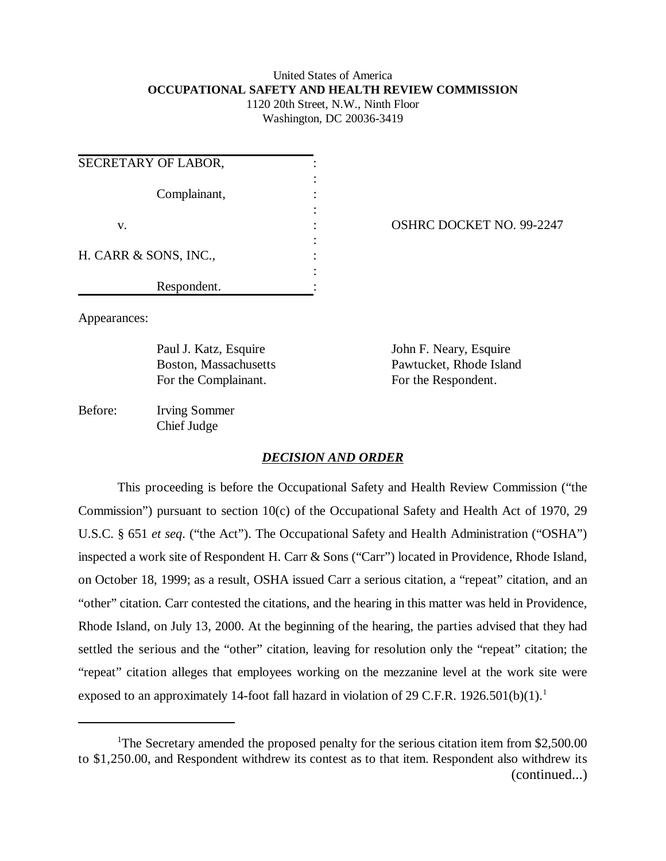# United States of America **OCCUPATIONAL SAFETY AND HEALTH REVIEW COMMISSION**

1120 20th Street, N.W., Ninth Floor Washington, DC 20036-3419

| SECRETARY OF LABOR,   |  |
|-----------------------|--|
| Complainant,          |  |
| V.                    |  |
| H. CARR & SONS, INC., |  |
| Respondent.           |  |

OSHRC DOCKET NO. 99-2247

Appearances:

For the Complainant. For the Respondent.

Paul J. Katz, Esquire John F. Neary, Esquire Boston, Massachusetts Pawtucket, Rhode Island

Before: Irving Sommer Chief Judge

# *DECISION AND ORDER*

This proceeding is before the Occupational Safety and Health Review Commission ("the Commission") pursuant to section 10(c) of the Occupational Safety and Health Act of 1970, 29 U.S.C. § 651 *et seq*. ("the Act"). The Occupational Safety and Health Administration ("OSHA") inspected a work site of Respondent H. Carr & Sons ("Carr") located in Providence, Rhode Island, on October 18, 1999; as a result, OSHA issued Carr a serious citation, a "repeat" citation, and an "other" citation. Carr contested the citations, and the hearing in this matter was held in Providence, Rhode Island, on July 13, 2000. At the beginning of the hearing, the parties advised that they had settled the serious and the "other" citation, leaving for resolution only the "repeat" citation; the "repeat" citation alleges that employees working on the mezzanine level at the work site were exposed to an approximately 14-foot fall hazard in violation of 29 C.F.R. 1926.501(b)(1).<sup>1</sup>

<sup>&</sup>lt;sup>1</sup>The Secretary amended the proposed penalty for the serious citation item from \$2,500.00 to \$1,250.00, and Respondent withdrew its contest as to that item. Respondent also withdrew its (continued...)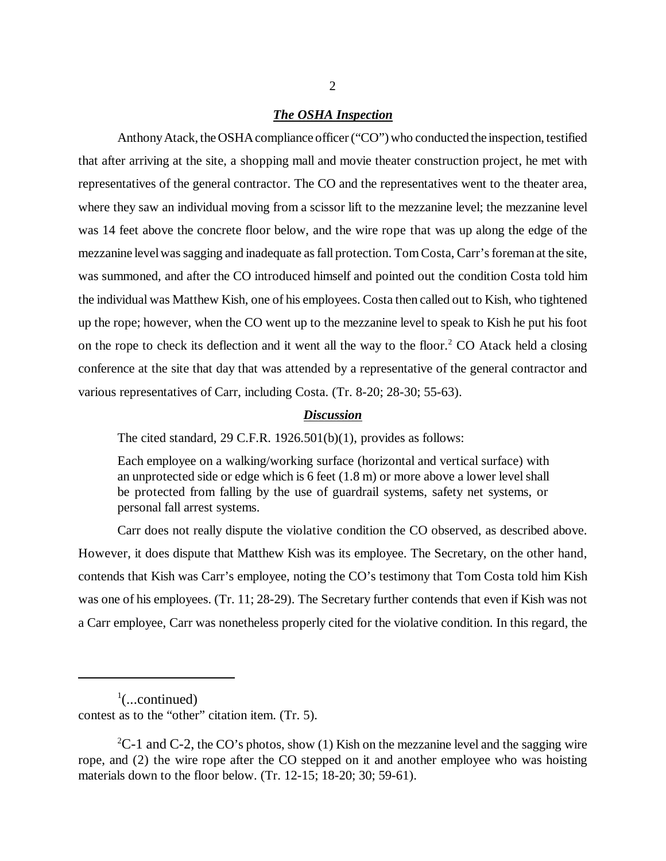#### *The OSHA Inspection*

Anthony Atack, the OSHA compliance officer ("CO") who conducted the inspection, testified that after arriving at the site, a shopping mall and movie theater construction project, he met with representatives of the general contractor. The CO and the representatives went to the theater area, where they saw an individual moving from a scissor lift to the mezzanine level; the mezzanine level was 14 feet above the concrete floor below, and the wire rope that was up along the edge of the mezzanine level was sagging and inadequate as fall protection. Tom Costa, Carr's foreman at the site, was summoned, and after the CO introduced himself and pointed out the condition Costa told him the individual was Matthew Kish, one of his employees. Costa then called out to Kish, who tightened up the rope; however, when the CO went up to the mezzanine level to speak to Kish he put his foot on the rope to check its deflection and it went all the way to the floor.<sup>2</sup> CO Atack held a closing conference at the site that day that was attended by a representative of the general contractor and various representatives of Carr, including Costa. (Tr. 8-20; 28-30; 55-63).

#### *Discussion*

The cited standard, 29 C.F.R. 1926.501(b)(1), provides as follows:

Each employee on a walking/working surface (horizontal and vertical surface) with an unprotected side or edge which is 6 feet (1.8 m) or more above a lower level shall be protected from falling by the use of guardrail systems, safety net systems, or personal fall arrest systems.

Carr does not really dispute the violative condition the CO observed, as described above. However, it does dispute that Matthew Kish was its employee. The Secretary, on the other hand, contends that Kish was Carr's employee, noting the CO's testimony that Tom Costa told him Kish was one of his employees. (Tr. 11; 28-29). The Secretary further contends that even if Kish was not a Carr employee, Carr was nonetheless properly cited for the violative condition. In this regard, the

 $\frac{1}{2}$ (...continued) contest as to the "other" citation item. (Tr. 5).

 ${}^{2}C$ -1 and C-2, the CO's photos, show (1) Kish on the mezzanine level and the sagging wire rope, and (2) the wire rope after the CO stepped on it and another employee who was hoisting materials down to the floor below. (Tr. 12-15; 18-20; 30; 59-61).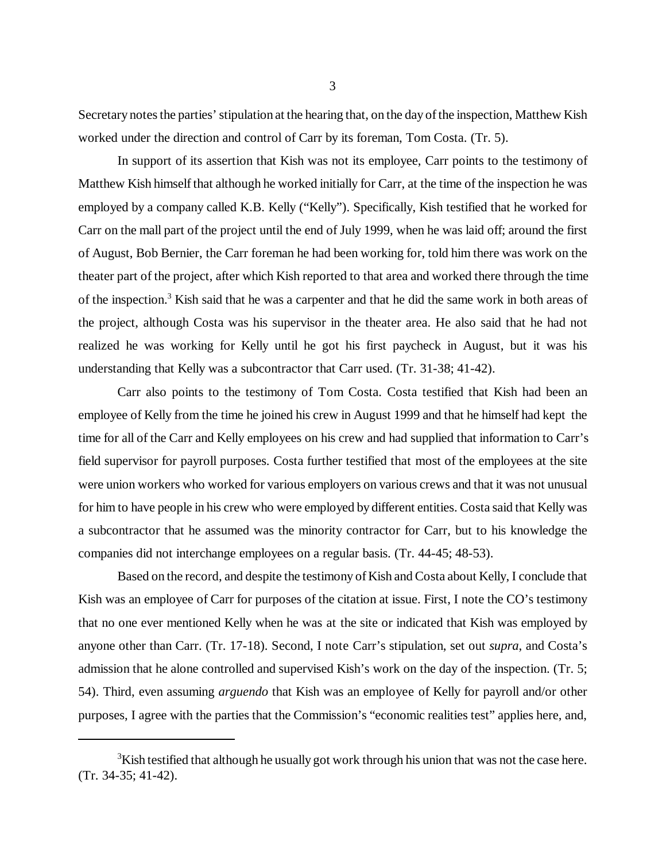Secretary notes the parties' stipulation at the hearing that, on the day of the inspection, Matthew Kish worked under the direction and control of Carr by its foreman, Tom Costa. (Tr. 5).

In support of its assertion that Kish was not its employee, Carr points to the testimony of Matthew Kish himself that although he worked initially for Carr, at the time of the inspection he was employed by a company called K.B. Kelly ("Kelly"). Specifically, Kish testified that he worked for Carr on the mall part of the project until the end of July 1999, when he was laid off; around the first of August, Bob Bernier, the Carr foreman he had been working for, told him there was work on the theater part of the project, after which Kish reported to that area and worked there through the time of the inspection.<sup>3</sup> Kish said that he was a carpenter and that he did the same work in both areas of the project, although Costa was his supervisor in the theater area. He also said that he had not realized he was working for Kelly until he got his first paycheck in August, but it was his understanding that Kelly was a subcontractor that Carr used. (Tr. 31-38; 41-42).

Carr also points to the testimony of Tom Costa. Costa testified that Kish had been an employee of Kelly from the time he joined his crew in August 1999 and that he himself had kept the time for all of the Carr and Kelly employees on his crew and had supplied that information to Carr's field supervisor for payroll purposes. Costa further testified that most of the employees at the site were union workers who worked for various employers on various crews and that it was not unusual for him to have people in his crew who were employed by different entities. Costa said that Kelly was a subcontractor that he assumed was the minority contractor for Carr, but to his knowledge the companies did not interchange employees on a regular basis. (Tr. 44-45; 48-53).

Based on the record, and despite the testimony of Kish and Costa about Kelly, I conclude that Kish was an employee of Carr for purposes of the citation at issue. First, I note the CO's testimony that no one ever mentioned Kelly when he was at the site or indicated that Kish was employed by anyone other than Carr. (Tr. 17-18). Second, I note Carr's stipulation, set out *supra*, and Costa's admission that he alone controlled and supervised Kish's work on the day of the inspection. (Tr. 5; 54). Third, even assuming *arguendo* that Kish was an employee of Kelly for payroll and/or other purposes, I agree with the parties that the Commission's "economic realities test" applies here, and,

 $3$ Kish testified that although he usually got work through his union that was not the case here. (Tr. 34-35; 41-42).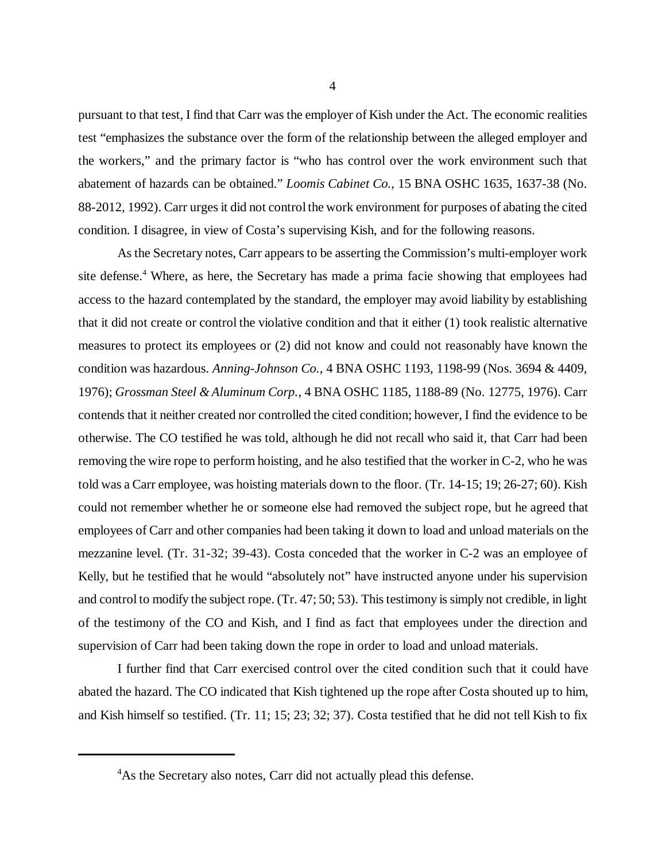pursuant to that test, I find that Carr was the employer of Kish under the Act. The economic realities test "emphasizes the substance over the form of the relationship between the alleged employer and the workers," and the primary factor is "who has control over the work environment such that abatement of hazards can be obtained." *Loomis Cabinet Co.*, 15 BNA OSHC 1635, 1637-38 (No. 88-2012, 1992). Carr urges it did not control the work environment for purposes of abating the cited condition. I disagree, in view of Costa's supervising Kish, and for the following reasons.

As the Secretary notes, Carr appears to be asserting the Commission's multi-employer work site defense.<sup>4</sup> Where, as here, the Secretary has made a prima facie showing that employees had access to the hazard contemplated by the standard, the employer may avoid liability by establishing that it did not create or control the violative condition and that it either (1) took realistic alternative measures to protect its employees or (2) did not know and could not reasonably have known the condition was hazardous. *Anning-Johnson Co.*, 4 BNA OSHC 1193, 1198-99 (Nos. 3694 & 4409, 1976); *Grossman Steel & Aluminum Corp.*, 4 BNA OSHC 1185, 1188-89 (No. 12775, 1976). Carr contends that it neither created nor controlled the cited condition; however, I find the evidence to be otherwise. The CO testified he was told, although he did not recall who said it, that Carr had been removing the wire rope to perform hoisting, and he also testified that the worker in C-2, who he was told was a Carr employee, was hoisting materials down to the floor. (Tr. 14-15; 19; 26-27; 60). Kish could not remember whether he or someone else had removed the subject rope, but he agreed that employees of Carr and other companies had been taking it down to load and unload materials on the mezzanine level. (Tr. 31-32; 39-43). Costa conceded that the worker in C-2 was an employee of Kelly, but he testified that he would "absolutely not" have instructed anyone under his supervision and control to modify the subject rope. (Tr. 47; 50; 53). This testimony is simply not credible, in light of the testimony of the CO and Kish, and I find as fact that employees under the direction and supervision of Carr had been taking down the rope in order to load and unload materials.

I further find that Carr exercised control over the cited condition such that it could have abated the hazard. The CO indicated that Kish tightened up the rope after Costa shouted up to him, and Kish himself so testified. (Tr. 11; 15; 23; 32; 37). Costa testified that he did not tell Kish to fix

<sup>&</sup>lt;sup>4</sup>As the Secretary also notes, Carr did not actually plead this defense.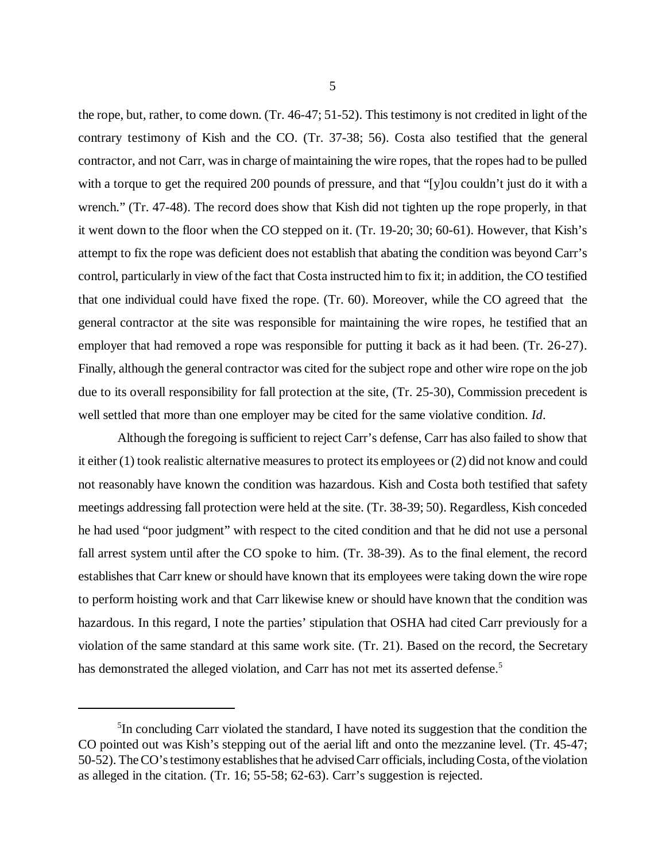the rope, but, rather, to come down. (Tr. 46-47; 51-52). This testimony is not credited in light of the contrary testimony of Kish and the CO. (Tr. 37-38; 56). Costa also testified that the general contractor, and not Carr, was in charge of maintaining the wire ropes, that the ropes had to be pulled with a torque to get the required 200 pounds of pressure, and that "[y]ou couldn't just do it with a wrench." (Tr. 47-48). The record does show that Kish did not tighten up the rope properly, in that it went down to the floor when the CO stepped on it. (Tr. 19-20; 30; 60-61). However, that Kish's attempt to fix the rope was deficient does not establish that abating the condition was beyond Carr's control, particularly in view of the fact that Costa instructed him to fix it; in addition, the CO testified that one individual could have fixed the rope. (Tr. 60). Moreover, while the CO agreed that the general contractor at the site was responsible for maintaining the wire ropes, he testified that an employer that had removed a rope was responsible for putting it back as it had been. (Tr. 26-27). Finally, although the general contractor was cited for the subject rope and other wire rope on the job due to its overall responsibility for fall protection at the site, (Tr. 25-30), Commission precedent is well settled that more than one employer may be cited for the same violative condition. *Id*.

Although the foregoing is sufficient to reject Carr's defense, Carr has also failed to show that it either (1) took realistic alternative measures to protect its employees or (2) did not know and could not reasonably have known the condition was hazardous. Kish and Costa both testified that safety meetings addressing fall protection were held at the site. (Tr. 38-39; 50). Regardless, Kish conceded he had used "poor judgment" with respect to the cited condition and that he did not use a personal fall arrest system until after the CO spoke to him. (Tr. 38-39). As to the final element, the record establishes that Carr knew or should have known that its employees were taking down the wire rope to perform hoisting work and that Carr likewise knew or should have known that the condition was hazardous. In this regard, I note the parties' stipulation that OSHA had cited Carr previously for a violation of the same standard at this same work site. (Tr. 21). Based on the record, the Secretary has demonstrated the alleged violation, and Carr has not met its asserted defense.<sup>5</sup>

<sup>&</sup>lt;sup>5</sup>In concluding Carr violated the standard, I have noted its suggestion that the condition the CO pointed out was Kish's stepping out of the aerial lift and onto the mezzanine level. (Tr. 45-47; 50-52). The CO's testimony establishes that he advised Carr officials, including Costa, of the violation as alleged in the citation. (Tr. 16; 55-58; 62-63). Carr's suggestion is rejected.